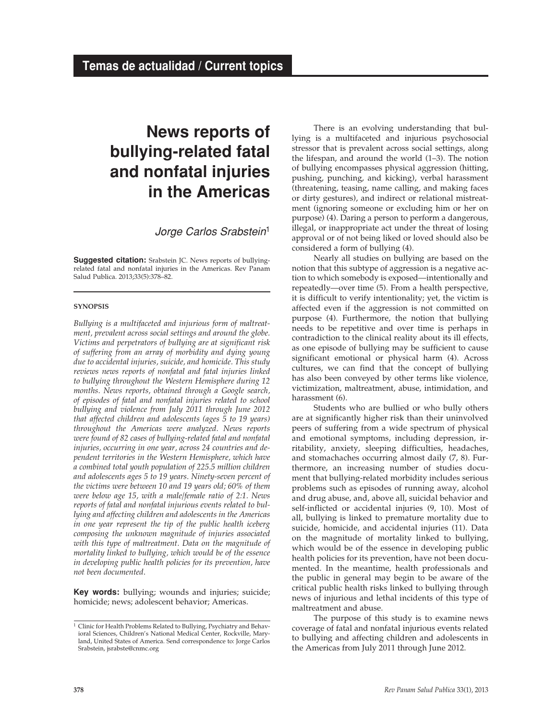# **News reports of bullying-related fatal and nonfatal injuries in the Americas**

*Jorge Carlos Srabstein*<sup>1</sup>

**Suggested citation:** Srabstein JC. News reports of bullyingrelated fatal and nonfatal injuries in the Americas. Rev Panam Salud Publica. 2013;33(5):378–82.

### **synopsis**

*Bullying is a multifaceted and injurious form of maltreatment, prevalent across social settings and around the globe. Victims and perpetrators of bullying are at significant risk of suffering from an array of morbidity and dying young due to accidental injuries, suicide, and homicide. This study reviews news reports of nonfatal and fatal injuries linked to bullying throughout the Western Hemisphere during 12 months. News reports, obtained through a Google search, of episodes of fatal and nonfatal injuries related to school bullying and violence from July 2011 through June 2012 that affected children and adolescents (ages 5 to 19 years) throughout the Americas were analyzed. News reports were found of 82 cases of bullying-related fatal and nonfatal injuries, occurring in one year, across 24 countries and dependent territories in the Western Hemisphere, which have a combined total youth population of 225.5 million children and adolescents ages 5 to 19 years. Ninety-seven percent of the victims were between 10 and 19 years old; 60% of them were below age 15, with a male/female ratio of 2:1. News reports of fatal and nonfatal injurious events related to bullying and affecting children and adolescents in the Americas in one year represent the tip of the public health iceberg composing the unknown magnitude of injuries associated with this type of maltreatment. Data on the magnitude of mortality linked to bullying, which would be of the essence in developing public health policies for its prevention, have not been documented*.

**Key words:** bullying; wounds and injuries; suicide; homicide; news; adolescent behavior; Americas.

There is an evolving understanding that bullying is a multifaceted and injurious psychosocial stressor that is prevalent across social settings, along the lifespan, and around the world (1–3). The notion of bullying encompasses physical aggression (hitting, pushing, punching, and kicking), verbal harassment (threatening, teasing, name calling, and making faces or dirty gestures), and indirect or relational mistreatment (ignoring someone or excluding him or her on purpose) (4). Daring a person to perform a dangerous, illegal, or inappropriate act under the threat of losing approval or of not being liked or loved should also be considered a form of bullying (4).

Nearly all studies on bullying are based on the notion that this subtype of aggression is a negative action to which somebody is exposed—intentionally and repeatedly—over time (5). From a health perspective, it is difficult to verify intentionality; yet, the victim is affected even if the aggression is not committed on purpose (4). Furthermore, the notion that bullying needs to be repetitive and over time is perhaps in contradiction to the clinical reality about its ill effects, as one episode of bullying may be sufficient to cause significant emotional or physical harm (4). Across cultures, we can find that the concept of bullying has also been conveyed by other terms like violence, victimization, maltreatment, abuse, intimidation, and harassment (6).

Students who are bullied or who bully others are at significantly higher risk than their uninvolved peers of suffering from a wide spectrum of physical and emotional symptoms, including depression, irritability, anxiety, sleeping difficulties, headaches, and stomachaches occurring almost daily (7, 8). Furthermore, an increasing number of studies document that bullying-related morbidity includes serious problems such as episodes of running away, alcohol and drug abuse, and, above all, suicidal behavior and self-inflicted or accidental injuries (9, 10). Most of all, bullying is linked to premature mortality due to suicide, homicide, and accidental injuries (11). Data on the magnitude of mortality linked to bullying, which would be of the essence in developing public health policies for its prevention, have not been documented. In the meantime, health professionals and the public in general may begin to be aware of the critical public health risks linked to bullying through news of injurious and lethal incidents of this type of maltreatment and abuse.

The purpose of this study is to examine news coverage of fatal and nonfatal injurious events related to bullying and affecting children and adolescents in the Americas from July 2011 through June 2012.

<sup>&</sup>lt;sup>1</sup> Clinic for Health Problems Related to Bullying, Psychiatry and Behavioral Sciences, Children's National Medical Center, Rockville, Maryland, United States of America. Send correspondence to: Jorge Carlos Srabstein, [jsrabste@cnmc.org](mailto:jsrabste@cnmc.org)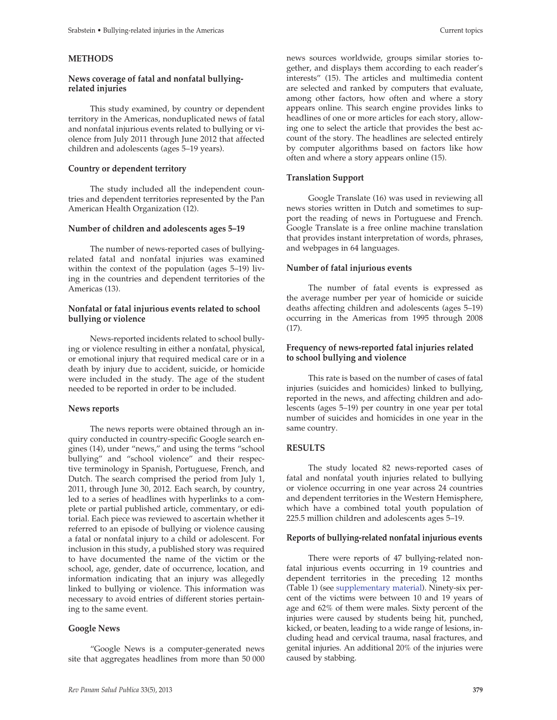#### **Methods**

#### **News coverage of fatal and nonfatal bullyingrelated injuries**

This study examined, by country or dependent territory in the Americas, nonduplicated news of fatal and nonfatal injurious events related to bullying or violence from July 2011 through June 2012 that affected children and adolescents (ages 5–19 years).

# **Country or dependent territory**

The study included all the independent countries and dependent territories represented by the Pan American Health Organization (12).

#### **Number of children and adolescents ages 5–19**

The number of news-reported cases of bullyingrelated fatal and nonfatal injuries was examined within the context of the population (ages 5–19) living in the countries and dependent territories of the Americas (13).

## **Nonfatal or fatal injurious events related to school bullying or violence**

News-reported incidents related to school bullying or violence resulting in either a nonfatal, physical, or emotional injury that required medical care or in a death by injury due to accident, suicide, or homicide were included in the study. The age of the student needed to be reported in order to be included.

#### **News reports**

The news reports were obtained through an inquiry conducted in country-specific Google search engines (14), under "news," and using the terms "school bullying" and "school violence" and their respective terminology in Spanish, Portuguese, French, and Dutch. The search comprised the period from July 1, 2011, through June 30, 2012. Each search, by country, led to a series of headlines with hyperlinks to a complete or partial published article, commentary, or editorial. Each piece was reviewed to ascertain whether it referred to an episode of bullying or violence causing a fatal or nonfatal injury to a child or adolescent. For inclusion in this study, a published story was required to have documented the name of the victim or the school, age, gender, date of occurrence, location, and information indicating that an injury was allegedly linked to bullying or violence. This information was necessary to avoid entries of different stories pertaining to the same event.

# **Google News**

"Google News is a computer-generated news site that aggregates headlines from more than 50 000 news sources worldwide, groups similar stories together, and displays them according to each reader's interests" (15). The articles and multimedia content are selected and ranked by computers that evaluate, among other factors, how often and where a story appears online. This search engine provides links to headlines of one or more articles for each story, allowing one to select the article that provides the best account of the story. The headlines are selected entirely by computer algorithms based on factors like how often and where a story appears online (15).

# **Translation Support**

Google Translate (16) was used in reviewing all news stories written in Dutch and sometimes to support the reading of news in Portuguese and French. Google Translate is a free online machine translation that provides instant interpretation of words, phrases, and webpages in 64 languages.

#### **Number of fatal injurious events**

The number of fatal events is expressed as the average number per year of homicide or suicide deaths affecting children and adolescents (ages 5–19) occurring in the Americas from 1995 through 2008 (17).

## **Frequency of news-reported fatal injuries related to school bullying and violence**

This rate is based on the number of cases of fatal injuries (suicides and homicides) linked to bullying, reported in the news, and affecting children and adolescents (ages 5–19) per country in one year per total number of suicides and homicides in one year in the same country.

#### **Results**

The study located 82 news-reported cases of fatal and nonfatal youth injuries related to bullying or violence occurring in one year across 24 countries and dependent territories in the Western Hemisphere, which have a combined total youth population of 225.5 million children and adolescents ages 5–19.

#### **Reports of bullying-related nonfatal injurious events**

There were reports of 47 bullying-related nonfatal injurious events occurring in 19 countries and dependent territories in the preceding 12 months (Table 1) (see [supplementary material\)](http://www.paho.org/journal/index.php?option=com_docman&task=doc_download&gid=584&Itemid=). Ninety-six percent of the victims were between 10 and 19 years of age and 62% of them were males. Sixty percent of the injuries were caused by students being hit, punched, kicked, or beaten, leading to a wide range of lesions, including head and cervical trauma, nasal fractures, and genital injuries. An additional 20% of the injuries were caused by stabbing.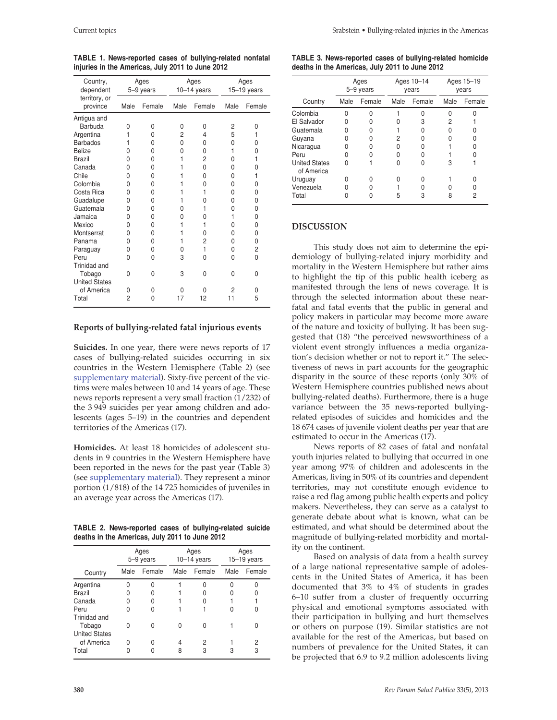| Country,<br>dependent     | Ages<br>5-9 years |        | Ages<br>$10-14$ years |                | Ages<br>15-19 years |        |
|---------------------------|-------------------|--------|-----------------------|----------------|---------------------|--------|
| territory, or<br>province | Male              | Female | Male                  | Female         | Male                | Female |
| Antigua and               |                   |        |                       |                |                     |        |
| Barbuda                   | O                 | N      | 0                     | 0              | 2                   | 0      |
| Argentina                 | 1                 | N      | 2                     | 4              | 5                   | 1      |
| <b>Barbados</b>           |                   | U      | 0                     | 0              | 0                   | 0      |
| <b>Belize</b>             | N                 | N      | 0                     | 0              | 1                   | 0      |
| <b>Brazil</b>             | N                 | N      | 1                     | $\overline{2}$ | 0                   | 1      |
| Canada                    | N                 | 0      | 1                     | 0              | 0                   | 0      |
| Chile                     | U                 | 0      |                       | 0              | 0                   | 1      |
| Colombia                  | N                 | O      |                       | 0              | 0                   | 0      |
| Costa Rica                | O                 | 0      | 1                     | 1              | 0                   | 0      |
| Guadalupe                 | O                 | 0      | 1                     | O              | 0                   | 0      |
| Guatemala                 | O                 | O      | N                     |                | 0                   | 0      |
| Jamaica                   | O                 | O      | 0                     | O              | 1                   | 0      |
| Mexico                    | O                 | 0      | 1                     | 1              | 0                   | 0      |
| Montserrat                | U                 | 0      | 1                     | 0              | 0                   | 0      |
| Panama                    | n                 | O      | 1                     | 2              | 0                   | 0      |
| Paraguay                  | O                 | 0      | N                     | 1              | 0                   | 2      |
| Peru                      | O                 | 0      | 3                     | 0              | 0                   | 0      |
| Trinidad and              |                   |        |                       |                |                     |        |
| Tobago                    | <sup>0</sup>      | 0      | 3                     | 0              | 0                   | O      |
| <b>United States</b>      |                   |        |                       |                |                     |        |
| of America                | U                 | 0      | O                     | 0              | 2                   | 0      |
| Total                     | 2                 | 0      | 17                    | 12             | 11                  | 5      |

**TABLE 1. News-reported cases of bullying-related nonfatal injuries in the Americas, July 2011 to June 2012**

#### **Reports of bullying-related fatal injurious events**

**Suicides.** In one year, there were news reports of 17 cases of bullying-related suicides occurring in six countries in the Western Hemisphere (Table 2) (see [supplementary material\)](http://www.paho.org/journal/index.php?option=com_docman&task=doc_download&gid=584&Itemid=). Sixty-five percent of the victims were males between 10 and 14 years of age. These news reports represent a very small fraction (1/232) of the 3 949 suicides per year among children and adolescents (ages 5–19) in the countries and dependent territories of the Americas (17).

**Homicides.** At least 18 homicides of adolescent students in 9 countries in the Western Hemisphere have been reported in the news for the past year (Table 3) (see [supplementary material](http://www.paho.org/journal/index.php?option=com_docman&task=doc_download&gid=584&Itemid=)). They represent a minor portion (1/818) of the 14 725 homicides of juveniles in an average year across the Americas (17).

**Table 2. News-reported cases of bullying-related suicide deaths in the Americas, July 2011 to June 2012**

|                                | Ages<br>5-9 years |        | Ages<br>$10-14$ years |        | Ages<br>$15-19$ years |        |
|--------------------------------|-------------------|--------|-----------------------|--------|-----------------------|--------|
| Country                        | Male              | Female | Male                  | Female | Male                  | Female |
| Argentina                      |                   |        |                       |        |                       |        |
| <b>Brazil</b>                  |                   |        |                       |        |                       |        |
| Canada                         |                   | Ω      |                       |        |                       |        |
| Peru<br>Trinidad and           |                   | Ω      |                       |        |                       |        |
| Tobago<br><b>United States</b> | O                 | O      | n                     |        |                       |        |
| of America                     | U                 |        | 4                     | 2      |                       | 2      |
| Total                          |                   |        | 8                     | 3      | 3                     | 3      |

|                                                | TABLE 3. News-reported cases of bullying-related homicide |  |
|------------------------------------------------|-----------------------------------------------------------|--|
| deaths in the Americas, July 2011 to June 2012 |                                                           |  |

|                                    | Ages<br>5-9 years |        | Ages 10-14<br>vears |        | Ages 15-19<br>vears |        |
|------------------------------------|-------------------|--------|---------------------|--------|---------------------|--------|
| Country                            | Male              | Female | Male                | Female | Male                | Female |
| Colombia                           |                   |        |                     |        |                     |        |
| El Salvador                        |                   |        |                     | 3      | 2                   |        |
| Guatemala                          |                   |        |                     |        |                     |        |
| Guyana                             |                   |        | 2                   |        |                     |        |
| Nicaragua                          |                   |        |                     |        |                     |        |
| Peru                               |                   |        |                     |        |                     |        |
| <b>United States</b><br>of America | n                 |        |                     |        | 3                   |        |
| Uruguay                            |                   |        |                     |        |                     |        |
| Venezuela                          |                   |        |                     |        |                     |        |
| Total                              |                   |        | 5                   | 3      | 8                   | 2      |

## **DISCUSSION**

This study does not aim to determine the epidemiology of bullying-related injury morbidity and mortality in the Western Hemisphere but rather aims to highlight the tip of this public health iceberg as manifested through the lens of news coverage. It is through the selected information about these nearfatal and fatal events that the public in general and policy makers in particular may become more aware of the nature and toxicity of bullying. It has been suggested that (18) "the perceived newsworthiness of a violent event strongly influences a media organization's decision whether or not to report it." The selectiveness of news in part accounts for the geographic disparity in the source of these reports (only 30% of Western Hemisphere countries published news about bullying-related deaths). Furthermore, there is a huge variance between the 35 news-reported bullyingrelated episodes of suicides and homicides and the 18 674 cases of juvenile violent deaths per year that are estimated to occur in the Americas (17).

News reports of 82 cases of fatal and nonfatal youth injuries related to bullying that occurred in one year among 97% of children and adolescents in the Americas, living in 50% of its countries and dependent territories, may not constitute enough evidence to raise a red flag among public health experts and policy makers. Nevertheless, they can serve as a catalyst to generate debate about what is known, what can be estimated, and what should be determined about the magnitude of bullying-related morbidity and mortality on the continent.

Based on analysis of data from a health survey of a large national representative sample of adolescents in the United States of America, it has been documented that 3% to 4% of students in grades 6–10 suffer from a cluster of frequently occurring physical and emotional symptoms associated with their participation in bullying and hurt themselves or others on purpose (19). Similar statistics are not available for the rest of the Americas, but based on numbers of prevalence for the United States, it can be projected that 6.9 to 9.2 million adolescents living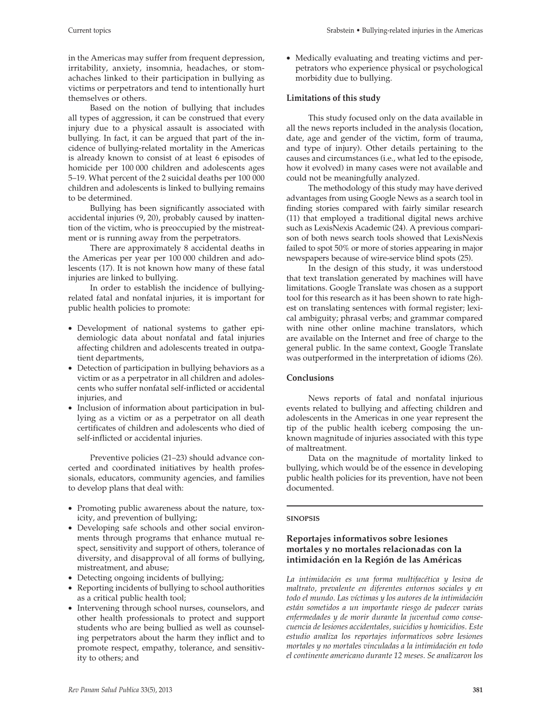in the Americas may suffer from frequent depression, irritability, anxiety, insomnia, headaches, or stomachaches linked to their participation in bullying as victims or perpetrators and tend to intentionally hurt themselves or others.

Based on the notion of bullying that includes all types of aggression, it can be construed that every injury due to a physical assault is associated with bullying. In fact, it can be argued that part of the incidence of bullying-related mortality in the Americas is already known to consist of at least 6 episodes of homicide per 100 000 children and adolescents ages 5–19. What percent of the 2 suicidal deaths per 100 000 children and adolescents is linked to bullying remains to be determined.

Bullying has been significantly associated with accidental injuries (9, 20), probably caused by inattention of the victim, who is preoccupied by the mistreatment or is running away from the perpetrators.

There are approximately 8 accidental deaths in the Americas per year per 100 000 children and adolescents (17). It is not known how many of these fatal injuries are linked to bullying.

In order to establish the incidence of bullyingrelated fatal and nonfatal injuries, it is important for public health policies to promote:

- • Development of national systems to gather epidemiologic data about nonfatal and fatal injuries affecting children and adolescents treated in outpatient departments,
- Detection of participation in bullying behaviors as a victim or as a perpetrator in all children and adolescents who suffer nonfatal self-inflicted or accidental injuries, and
- Inclusion of information about participation in bullying as a victim or as a perpetrator on all death certificates of children and adolescents who died of self-inflicted or accidental injuries.

Preventive policies (21–23) should advance concerted and coordinated initiatives by health professionals, educators, community agencies, and families to develop plans that deal with:

- • Promoting public awareness about the nature, toxicity, and prevention of bullying;
- • Developing safe schools and other social environments through programs that enhance mutual respect, sensitivity and support of others, tolerance of diversity, and disapproval of all forms of bullying, mistreatment, and abuse;
- Detecting ongoing incidents of bullying;
- Reporting incidents of bullying to school authorities as a critical public health tool;
- Intervening through school nurses, counselors, and other health professionals to protect and support students who are being bullied as well as counseling perpetrators about the harm they inflict and to promote respect, empathy, tolerance, and sensitivity to others; and

• Medically evaluating and treating victims and perpetrators who experience physical or psychological morbidity due to bullying.

# **Limitations of this study**

This study focused only on the data available in all the news reports included in the analysis (location, date, age and gender of the victim, form of trauma, and type of injury). Other details pertaining to the causes and circumstances (i.e., what led to the episode, how it evolved) in many cases were not available and could not be meaningfully analyzed.

The methodology of this study may have derived advantages from using Google News as a search tool in finding stories compared with fairly similar research (11) that employed a traditional digital news archive such as LexisNexis Academic (24). A previous comparison of both news search tools showed that LexisNexis failed to spot 50% or more of stories appearing in major newspapers because of wire-service blind spots (25).

In the design of this study, it was understood that text translation generated by machines will have limitations. Google Translate was chosen as a support tool for this research as it has been shown to rate highest on translating sentences with formal register; lexical ambiguity; phrasal verbs; and grammar compared with nine other online machine translators, which are available on the Internet and free of charge to the general public. In the same context, Google Translate was outperformed in the interpretation of idioms (26).

## **Conclusions**

News reports of fatal and nonfatal injurious events related to bullying and affecting children and adolescents in the Americas in one year represent the tip of the public health iceberg composing the unknown magnitude of injuries associated with this type of maltreatment.

Data on the magnitude of mortality linked to bullying, which would be of the essence in developing public health policies for its prevention, have not been documented.

#### **sinopsis**

## **Reportajes informativos sobre lesiones mortales y no mortales relacionadas con la intimidación en la Región de las Américas**

*La intimidación es una forma multifacética y lesiva de maltrato, prevalente en diferentes entornos sociales y en todo el mundo. Las víctimas y los autores de la intimidación están sometidos a un importante riesgo de padecer varias enfermedades y de morir durante la juventud como consecuencia de lesiones accidentales, suicidios y homicidios. Este estudio analiza los reportajes informativos sobre lesiones mortales y no mortales vinculadas a la intimidación en todo el continente americano durante 12 meses. Se analizaron los*